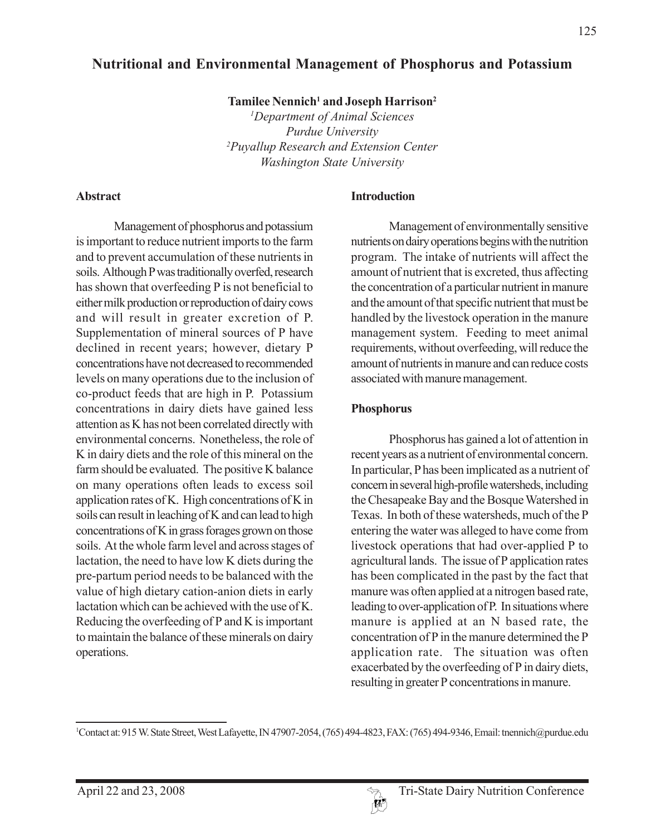# **Nutritional and Environmental Management of Phosphorus and Potassium**

Tamilee Nennich<sup>1</sup> and Joseph Harrison<sup>2</sup>

*1 Department of Animal Sciences Purdue University 2 Puyallup Research and Extension Center Washington State University*

#### **Abstract**

Management of phosphorus and potassium is important to reduce nutrient imports to the farm and to prevent accumulation of these nutrients in soils. Although P was traditionally overfed, research has shown that overfeeding P is not beneficial to either milk production or reproduction of dairy cows and will result in greater excretion of P. Supplementation of mineral sources of P have declined in recent years; however, dietary P concentrations have not decreased to recommended levels on many operations due to the inclusion of co-product feeds that are high in P. Potassium concentrations in dairy diets have gained less attention as K has not been correlated directly with environmental concerns. Nonetheless, the role of K in dairy diets and the role of this mineral on the farm should be evaluated. The positive K balance on many operations often leads to excess soil application rates of K. High concentrations of K in soils can result in leaching of K and can lead to high concentrations of K in grass forages grown on those soils. At the whole farm level and across stages of lactation, the need to have low K diets during the pre-partum period needs to be balanced with the value of high dietary cation-anion diets in early lactation which can be achieved with the use of K. Reducing the overfeeding of P and K is important to maintain the balance of these minerals on dairy operations.

#### **Introduction**

Management of environmentally sensitive nutrients on dairy operations begins with the nutrition program. The intake of nutrients will affect the amount of nutrient that is excreted, thus affecting the concentration of a particular nutrient in manure and the amount of that specific nutrient that must be handled by the livestock operation in the manure management system. Feeding to meet animal requirements, without overfeeding, will reduce the amount of nutrients in manure and can reduce costs associated with manure management.

### **Phosphorus**

Phosphorus has gained a lot of attention in recent years as a nutrient of environmental concern. In particular, P has been implicated as a nutrient of concern in several high-profile watersheds, including the Chesapeake Bay and the Bosque Watershed in Texas. In both of these watersheds, much of the P entering the water was alleged to have come from livestock operations that had over-applied P to agricultural lands. The issue of P application rates has been complicated in the past by the fact that manure was often applied at a nitrogen based rate, leading to over-application of P. In situations where manure is applied at an N based rate, the concentration of P in the manure determined the P application rate. The situation was often exacerbated by the overfeeding of P in dairy diets, resulting in greater P concentrations in manure.

<sup>1</sup> Contact at: 915 W. State Street, West Lafayette, IN 47907-2054, (765) 494-4823, FAX: (765) 494-9346, Email: tnennich@purdue.edu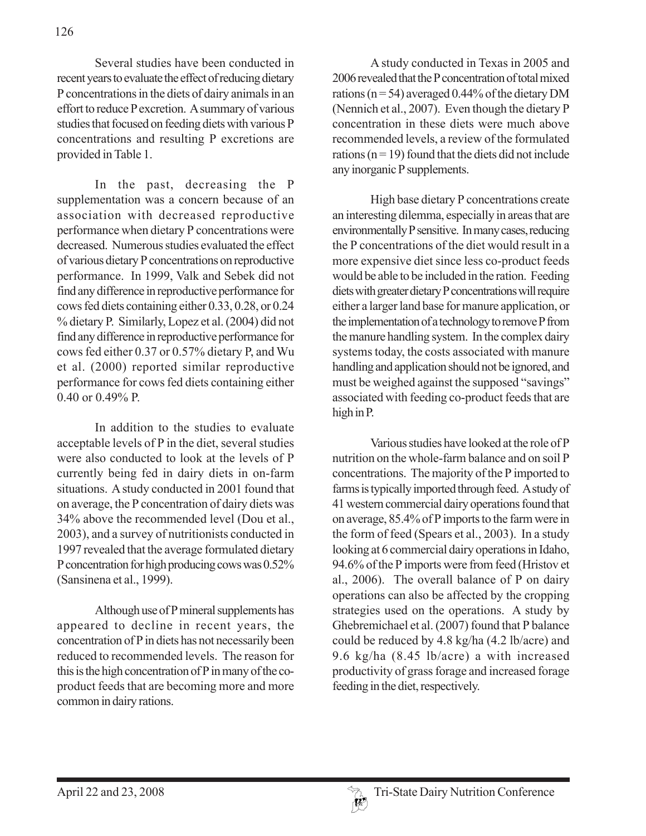Several studies have been conducted in recent years to evaluate the effect of reducing dietary P concentrations in the diets of dairy animals in an effort to reduce P excretion. A summary of various studies that focused on feeding diets with various P concentrations and resulting P excretions are provided in Table 1.

In the past, decreasing the P supplementation was a concern because of an association with decreased reproductive performance when dietary P concentrations were decreased. Numerous studies evaluated the effect of various dietary P concentrations on reproductive performance. In 1999, Valk and Sebek did not find any difference in reproductive performance for cows fed diets containing either 0.33, 0.28, or 0.24 % dietary P. Similarly, Lopez et al. (2004) did not find any difference in reproductive performance for cows fed either 0.37 or 0.57% dietary P, and Wu et al. (2000) reported similar reproductive performance for cows fed diets containing either 0.40 or 0.49% P.

In addition to the studies to evaluate acceptable levels of P in the diet, several studies were also conducted to look at the levels of P currently being fed in dairy diets in on-farm situations. A study conducted in 2001 found that on average, the P concentration of dairy diets was 34% above the recommended level (Dou et al., 2003), and a survey of nutritionists conducted in 1997 revealed that the average formulated dietary P concentration for high producing cows was 0.52% (Sansinena et al., 1999).

Although use of P mineral supplements has appeared to decline in recent years, the concentration of P in diets has not necessarily been reduced to recommended levels. The reason for this is the high concentration of P in many of the coproduct feeds that are becoming more and more common in dairy rations.

A study conducted in Texas in 2005 and 2006 revealed that the P concentration of total mixed rations ( $n = 54$ ) averaged 0.44% of the dietary DM (Nennich et al., 2007). Even though the dietary P concentration in these diets were much above recommended levels, a review of the formulated rations ( $n = 19$ ) found that the diets did not include any inorganic P supplements.

High base dietary P concentrations create an interesting dilemma, especially in areas that are environmentally P sensitive. In many cases, reducing the P concentrations of the diet would result in a more expensive diet since less co-product feeds would be able to be included in the ration. Feeding diets with greater dietary P concentrations will require either a larger land base for manure application, or the implementation of a technology to remove P from the manure handling system. In the complex dairy systems today, the costs associated with manure handling and application should not be ignored, and must be weighed against the supposed "savings" associated with feeding co-product feeds that are high in P.

Various studies have looked at the role of P nutrition on the whole-farm balance and on soil P concentrations. The majority of the P imported to farms is typically imported through feed. A study of 41 western commercial dairy operations found that on average, 85.4% of P imports to the farm were in the form of feed (Spears et al., 2003). In a study looking at 6 commercial dairy operations in Idaho, 94.6% of the P imports were from feed (Hristov et al., 2006). The overall balance of P on dairy operations can also be affected by the cropping strategies used on the operations. A study by Ghebremichael et al. (2007) found that P balance could be reduced by 4.8 kg/ha (4.2 lb/acre) and 9.6 kg/ha (8.45 lb/acre) a with increased productivity of grass forage and increased forage feeding in the diet, respectively.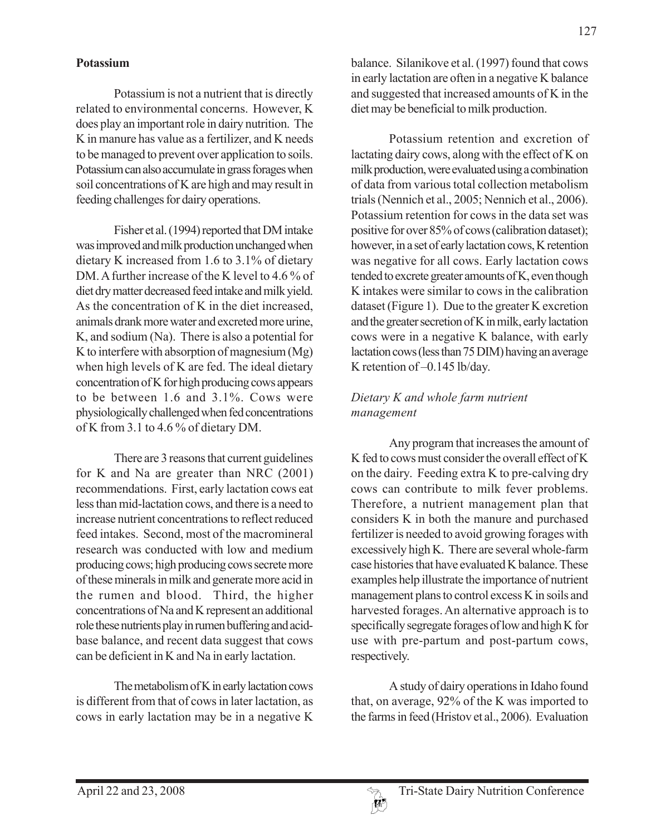#### **Potassium**

Potassium is not a nutrient that is directly related to environmental concerns. However, K does play an important role in dairy nutrition. The K in manure has value as a fertilizer, and K needs to be managed to prevent over application to soils. Potassium can also accumulate in grass forages when soil concentrations of K are high and may result in feeding challenges for dairy operations.

Fisher et al. (1994) reported that DM intake was improved and milk production unchanged when dietary K increased from 1.6 to 3.1% of dietary DM. A further increase of the K level to 4.6 % of diet dry matter decreased feed intake and milk yield. As the concentration of K in the diet increased, animals drank more water and excreted more urine, K, and sodium (Na). There is also a potential for K to interfere with absorption of magnesium (Mg) when high levels of K are fed. The ideal dietary concentration of K for high producing cows appears to be between 1.6 and 3.1%. Cows were physiologically challenged when fed concentrations of K from 3.1 to 4.6 % of dietary DM.

There are 3 reasons that current guidelines for K and Na are greater than NRC (2001) recommendations. First, early lactation cows eat less than mid-lactation cows, and there is a need to increase nutrient concentrations to reflect reduced feed intakes. Second, most of the macromineral research was conducted with low and medium producing cows; high producing cows secrete more of these minerals in milk and generate more acid in the rumen and blood. Third, the higher concentrations of Na and K represent an additional role these nutrients play in rumen buffering and acidbase balance, and recent data suggest that cows can be deficient in K and Na in early lactation.

The metabolism of K in early lactation cows is different from that of cows in later lactation, as cows in early lactation may be in a negative K balance. Silanikove et al. (1997) found that cows in early lactation are often in a negative K balance and suggested that increased amounts of K in the diet may be beneficial to milk production.

Potassium retention and excretion of lactating dairy cows, along with the effect of K on milk production, were evaluated using a combination of data from various total collection metabolism trials (Nennich et al., 2005; Nennich et al., 2006). Potassium retention for cows in the data set was positive for over 85% of cows (calibration dataset); however, in a set of early lactation cows, K retention was negative for all cows. Early lactation cows tended to excrete greater amounts of K, even though K intakes were similar to cows in the calibration dataset (Figure 1). Due to the greater K excretion and the greater secretion of K in milk, early lactation cows were in a negative K balance, with early lactation cows (less than 75 DIM) having an average K retention of –0.145 lb/day.

## *Dietary K and whole farm nutrient management*

Any program that increases the amount of K fed to cows must consider the overall effect of K on the dairy. Feeding extra K to pre-calving dry cows can contribute to milk fever problems. Therefore, a nutrient management plan that considers K in both the manure and purchased fertilizer is needed to avoid growing forages with excessively high K. There are several whole-farm case histories that have evaluated K balance. These examples help illustrate the importance of nutrient management plans to control excess K in soils and harvested forages. An alternative approach is to specifically segregate forages of low and high K for use with pre-partum and post-partum cows, respectively.

A study of dairy operations in Idaho found that, on average, 92% of the K was imported to the farms in feed (Hristov et al., 2006). Evaluation

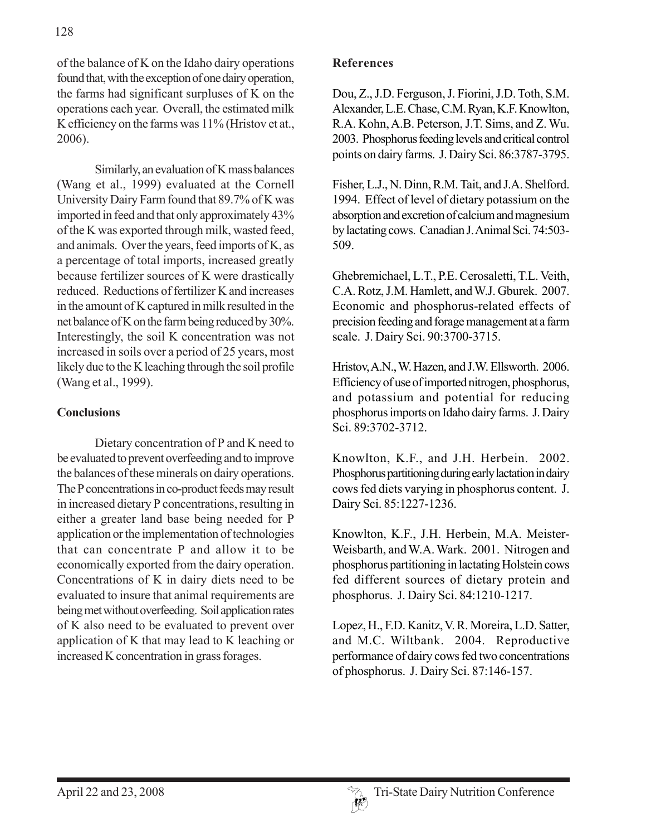of the balance of K on the Idaho dairy operations found that, with the exception of one dairy operation, the farms had significant surpluses of K on the operations each year. Overall, the estimated milk K efficiency on the farms was 11% (Hristov et at., 2006).

Similarly, an evaluation of K mass balances (Wang et al., 1999) evaluated at the Cornell University Dairy Farm found that 89.7% of K was imported in feed and that only approximately 43% of the K was exported through milk, wasted feed, and animals. Over the years, feed imports of K, as a percentage of total imports, increased greatly because fertilizer sources of K were drastically reduced. Reductions of fertilizer K and increases in the amount of K captured in milk resulted in the net balance of K on the farm being reduced by 30%. Interestingly, the soil K concentration was not increased in soils over a period of 25 years, most likely due to the K leaching through the soil profile (Wang et al., 1999).

## **Conclusions**

Dietary concentration of P and K need to be evaluated to prevent overfeeding and to improve the balances of these minerals on dairy operations. The P concentrations in co-product feeds may result in increased dietary P concentrations, resulting in either a greater land base being needed for P application or the implementation of technologies that can concentrate P and allow it to be economically exported from the dairy operation. Concentrations of K in dairy diets need to be evaluated to insure that animal requirements are being met without overfeeding. Soil application rates of K also need to be evaluated to prevent over application of K that may lead to K leaching or increased K concentration in grass forages.

### **References**

Dou, Z., J.D. Ferguson, J. Fiorini, J.D. Toth, S.M. Alexander, L.E. Chase, C.M. Ryan, K.F. Knowlton, R.A. Kohn, A.B. Peterson, J.T. Sims, and Z. Wu. 2003. Phosphorus feeding levels and critical control points on dairy farms. J. Dairy Sci. 86:3787-3795.

Fisher, L.J., N. Dinn, R.M. Tait, and J.A. Shelford. 1994. Effect of level of dietary potassium on the absorption and excretion of calcium and magnesium by lactating cows. Canadian J. Animal Sci. 74:503- 509.

Ghebremichael, L.T., P.E. Cerosaletti, T.L. Veith, C.A. Rotz, J.M. Hamlett, and W.J. Gburek. 2007. Economic and phosphorus-related effects of precision feeding and forage management at a farm scale. J. Dairy Sci. 90:3700-3715.

Hristov, A.N., W. Hazen, and J.W. Ellsworth. 2006. Efficiency of use of imported nitrogen, phosphorus, and potassium and potential for reducing phosphorus imports on Idaho dairy farms. J. Dairy Sci. 89:3702-3712.

Knowlton, K.F., and J.H. Herbein. 2002. Phosphorus partitioning during early lactation in dairy cows fed diets varying in phosphorus content. J. Dairy Sci. 85:1227-1236.

Knowlton, K.F., J.H. Herbein, M.A. Meister-Weisbarth, and W.A. Wark. 2001. Nitrogen and phosphorus partitioning in lactating Holstein cows fed different sources of dietary protein and phosphorus. J. Dairy Sci. 84:1210-1217.

Lopez, H., F.D. Kanitz, V. R. Moreira, L.D. Satter, and M.C. Wiltbank. 2004. Reproductive performance of dairy cows fed two concentrations of phosphorus. J. Dairy Sci. 87:146-157.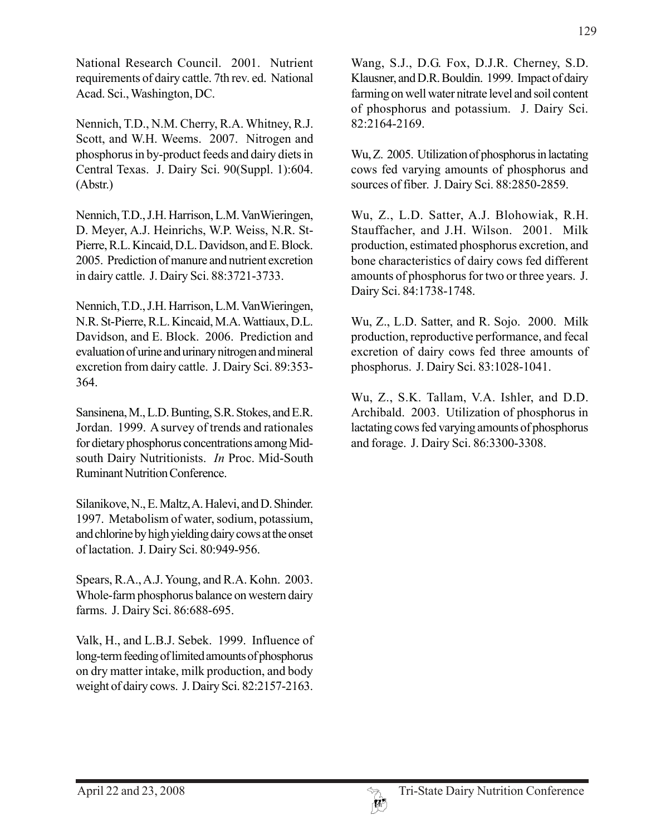National Research Council. 2001. Nutrient requirements of dairy cattle. 7th rev. ed. National Acad. Sci., Washington, DC.

Nennich, T.D., N.M. Cherry, R.A. Whitney, R.J. Scott, and W.H. Weems. 2007. Nitrogen and phosphorus in by-product feeds and dairy diets in Central Texas. J. Dairy Sci. 90(Suppl. 1):604. (Abstr.)

Nennich, T.D., J.H. Harrison, L.M. VanWieringen, D. Meyer, A.J. Heinrichs, W.P. Weiss, N.R. St-Pierre, R.L. Kincaid, D.L. Davidson, and E. Block. 2005. Prediction of manure and nutrient excretion in dairy cattle. J. Dairy Sci. 88:3721-3733.

Nennich, T.D., J.H. Harrison, L.M. VanWieringen, N.R. St-Pierre, R.L. Kincaid, M.A. Wattiaux, D.L. Davidson, and E. Block. 2006. Prediction and evaluation of urine and urinary nitrogen and mineral excretion from dairy cattle. J. Dairy Sci. 89:353- 364.

Sansinena, M., L.D. Bunting, S.R. Stokes, and E.R. Jordan. 1999. A survey of trends and rationales for dietary phosphorus concentrations among Midsouth Dairy Nutritionists. *In* Proc. Mid-South Ruminant Nutrition Conference.

Silanikove, N., E. Maltz, A. Halevi, and D. Shinder. 1997. Metabolism of water, sodium, potassium, and chlorine by high yielding dairy cows at the onset of lactation. J. Dairy Sci. 80:949-956.

Spears, R.A., A.J. Young, and R.A. Kohn. 2003. Whole-farm phosphorus balance on western dairy farms. J. Dairy Sci. 86:688-695.

Valk, H., and L.B.J. Sebek. 1999. Influence of long-term feeding of limited amounts of phosphorus on dry matter intake, milk production, and body weight of dairy cows. J. Dairy Sci. 82:2157-2163.

Wang, S.J., D.G. Fox, D.J.R. Cherney, S.D. Klausner, and D.R. Bouldin. 1999. Impact of dairy farming on well water nitrate level and soil content of phosphorus and potassium. J. Dairy Sci. 82:2164-2169.

Wu, Z. 2005. Utilization of phosphorus in lactating cows fed varying amounts of phosphorus and sources of fiber. J. Dairy Sci. 88:2850-2859.

Wu, Z., L.D. Satter, A.J. Blohowiak, R.H. Stauffacher, and J.H. Wilson. 2001. Milk production, estimated phosphorus excretion, and bone characteristics of dairy cows fed different amounts of phosphorus for two or three years. J. Dairy Sci. 84:1738-1748.

Wu, Z., L.D. Satter, and R. Sojo. 2000. Milk production, reproductive performance, and fecal excretion of dairy cows fed three amounts of phosphorus. J. Dairy Sci. 83:1028-1041.

Wu, Z., S.K. Tallam, V.A. Ishler, and D.D. Archibald. 2003. Utilization of phosphorus in lactating cows fed varying amounts of phosphorus and forage. J. Dairy Sci. 86:3300-3308.

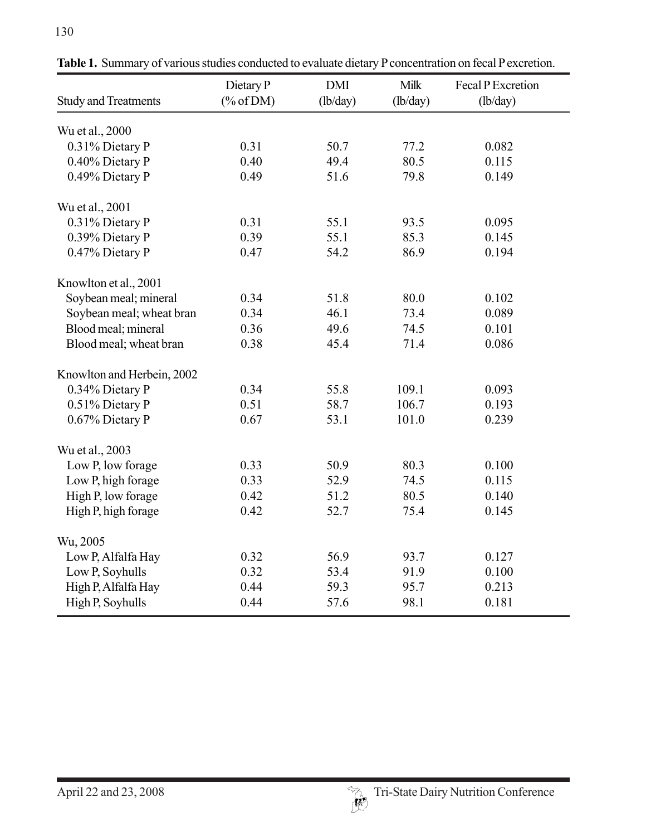| <b>Study and Treatments</b> | Dietary P<br>$(\% of DM)$ | <b>DMI</b><br>(lb/day) | Milk<br>(lb/day) | Fecal P Excretion<br>(lb/day) |
|-----------------------------|---------------------------|------------------------|------------------|-------------------------------|
| Wu et al., 2000             |                           |                        |                  |                               |
| 0.31% Dietary P             | 0.31                      | 50.7                   | 77.2             | 0.082                         |
| 0.40% Dietary P             | 0.40                      | 49.4                   | 80.5             | 0.115                         |
| 0.49% Dietary P             | 0.49                      | 51.6                   | 79.8             | 0.149                         |
| Wu et al., 2001             |                           |                        |                  |                               |
| 0.31% Dietary P             | 0.31                      | 55.1                   | 93.5             | 0.095                         |
| 0.39% Dietary P             | 0.39                      | 55.1                   | 85.3             | 0.145                         |
| 0.47% Dietary P             | 0.47                      | 54.2                   | 86.9             | 0.194                         |
| Knowlton et al., 2001       |                           |                        |                  |                               |
| Soybean meal; mineral       | 0.34                      | 51.8                   | 80.0             | 0.102                         |
| Soybean meal; wheat bran    | 0.34                      | 46.1                   | 73.4             | 0.089                         |
| Blood meal; mineral         | 0.36                      | 49.6                   | 74.5             | 0.101                         |
| Blood meal; wheat bran      | 0.38                      | 45.4                   | 71.4             | 0.086                         |
| Knowlton and Herbein, 2002  |                           |                        |                  |                               |
| 0.34% Dietary P             | 0.34                      | 55.8                   | 109.1            | 0.093                         |
| 0.51% Dietary P             | 0.51                      | 58.7                   | 106.7            | 0.193                         |
| 0.67% Dietary P             | 0.67                      | 53.1                   | 101.0            | 0.239                         |
| Wu et al., 2003             |                           |                        |                  |                               |
| Low P, low forage           | 0.33                      | 50.9                   | 80.3             | 0.100                         |
| Low P, high forage          | 0.33                      | 52.9                   | 74.5             | 0.115                         |
| High P, low forage          | 0.42                      | 51.2                   | 80.5             | 0.140                         |
| High P, high forage         | 0.42                      | 52.7                   | 75.4             | 0.145                         |
| Wu, 2005                    |                           |                        |                  |                               |
| Low P, Alfalfa Hay          | 0.32                      | 56.9                   | 93.7             | 0.127                         |
| Low P, Soyhulls             | 0.32                      | 53.4                   | 91.9             | 0.100                         |
| High P, Alfalfa Hay         | 0.44                      | 59.3                   | 95.7             | 0.213                         |
| High P, Soyhulls            | 0.44                      | 57.6                   | 98.1             | 0.181                         |

**Table 1.** Summary of various studies conducted to evaluate dietary P concentration on fecal P excretion.